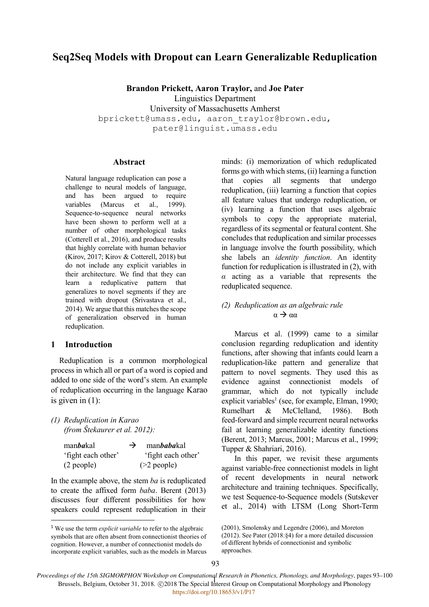# **Seq2Seq Models with Dropout can Learn Generalizable Reduplication**

**Brandon Prickett, Aaron Traylor,** and **Joe Pater** Linguistics Department University of Massachusetts Amherst bprickett@umass.edu, aaron\_traylor@brown.edu, pater@linguist.umass.edu

#### **Abstract**

Natural language reduplication can pose a challenge to neural models of language, and has been argued to require variables (Marcus et al., 1999). Sequence-to-sequence neural networks have been shown to perform well at a number of other morphological tasks (Cotterell et al., 2016), and produce results that highly correlate with human behavior (Kirov, 2017; Kirov & Cotterell, 2018) but do not include any explicit variables in their architecture. We find that they can learn a reduplicative pattern that generalizes to novel segments if they are trained with dropout (Srivastava et al., 2014). We argue that this matches the scope of generalization observed in human reduplication.

## **1 Introduction**

 $\overline{\phantom{a}}$ 

Reduplication is a common morphological process in which all or part of a word is copied and added to one side of the word's stem. An example of reduplication occurring in the language Karao is given in  $(1)$ :

<span id="page-0-0"></span>*(1) Reduplication in Karao (from Ŝtekaurer et al. 2012):*

| manbakal           | → | manbabakal         |
|--------------------|---|--------------------|
| 'fight each other' |   | 'fight each other' |
| (2 people)         |   | $(>2$ people)      |

In the example above, the stem *ba* is reduplicated to create the affixed form *baba*. Berent (2013) discusses four different possibilities for how speakers could represent reduplication in their minds: (i) memorization of which reduplicated forms go with which stems, (ii) learning a function that copies all segments that undergo reduplication, (iii) learning a function that copies all feature values that undergo reduplication, or (iv) learning a function that uses algebraic symbols to copy the appropriate material, regardless of its segmental or featural content. She concludes that reduplication and similar processes in language involve the fourth possibility, which she labels an *identity function*. An identity function for reduplication is illustrated in [\(2\),](#page-0-1) with *α* acting as a variable that represents the reduplicated sequence.

# <span id="page-0-1"></span>*(2) Reduplication as an algebraic rule*  $\alpha \rightarrow \alpha \alpha$

Marcus et al. (1999) came to a similar conclusion regarding reduplication and identity functions, after showing that infants could learn a reduplication-like pattern and generalize that pattern to novel segments. They used this as evidence against connectionist models of grammar, which do not typically include explicit variables<sup>1</sup> (see, for example, Elman, 1990; Rumelhart & McClelland, 1986). Both feed-forward and simple recurrent neural networks fail at learning generalizable identity functions (Berent, 2013; Marcus, 2001; Marcus et al., 1999; Tupper & Shahriari, 2016).

In this paper, we revisit these arguments against variable-free connectionist models in light of recent developments in neural network architecture and training techniques. Specifically, we test Sequence-to-Sequence models (Sutskever et al., 2014) with LTSM (Long Short-Term

*Proceedings of the 15th SIGMORPHON Workshop on Computational Research in Phonetics, Phonology, and Morphology*, pages 93–100 Ings of the 15th SIGMONI HON WORSHOP on Computational Research in Fibricity, I honology, and morphology, pages<br>Brussels, Belgium, October 31, 2018. ©2018 The Special Interest Group on Computational Morphology and Phonology https://doi.org/10.18653/v1/P17

<sup>1</sup> We use the term *explicit variable* to refer to the algebraic symbols that are often absent from connectionist theories of cognition. However, a number of connectionist models do incorporate explicit variables, such as the models in Marcus

<sup>(2001),</sup> Smolensky and Legendre (2006), and Moreton (2012). See Pater (2018:§4) for a more detailed discussion of different hybrids of connectionist and symbolic approaches.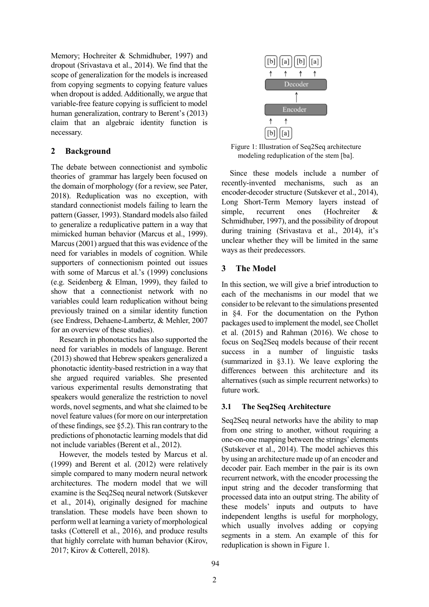Memory; Hochreiter & Schmidhuber, 1997) and dropout (Srivastava et al., 2014). We find that the scope of generalization for the models is increased from copying segments to copying feature values when dropout is added. Additionally, we argue that variable-free feature copying is sufficient to model human generalization, contrary to Berent's (2013) claim that an algebraic identity function is necessary.

# **2 Background**

The debate between connectionist and symbolic theories of grammar has largely been focused on the domain of morphology (for a review, see Pater, 2018). Reduplication was no exception, with standard connectionist models failing to learn the pattern (Gasser, 1993). Standard models also failed to generalize a reduplicative pattern in a way that mimicked human behavior (Marcus et al., 1999). Marcus (2001) argued that this was evidence of the need for variables in models of cognition. While supporters of connectionism pointed out issues with some of Marcus et al.'s (1999) conclusions (e.g. Seidenberg & Elman, 1999), they failed to show that a connectionist network with no variables could learn reduplication without being previously trained on a similar identity function (see Endress, Dehaene-Lambertz, & Mehler, 2007 for an overview of these studies).

Research in phonotactics has also supported the need for variables in models of language. Berent (2013) showed that Hebrew speakers generalized a phonotactic identity-based restriction in a way that she argued required variables. She presented various experimental results demonstrating that speakers would generalize the restriction to novel words, novel segments, and what she claimed to be novel feature values(for more on our interpretation of these findings, see [§5.2\)](#page-5-0). This ran contrary to the predictions of phonotactic learning models that did not include variables (Berent et al., 2012).

However, the models tested by Marcus et al. (1999) and Berent et al. (2012) were relatively simple compared to many modern neural network architectures. The modern model that we will examine is the Seq2Seq neural network (Sutskever et al., 2014), originally designed for machine translation. These models have been shown to perform well at learning a variety of morphological tasks (Cotterell et al., 2016), and produce results that highly correlate with human behavior (Kirov, 2017; Kirov & Cotterell, 2018).



<span id="page-1-1"></span>Figure 1: Illustration of Seq2Seq architecture modeling reduplication of the stem [ba].

Since these models include a number of recently-invented mechanisms, such as an encoder-decoder structure (Sutskever et al., 2014), Long Short-Term Memory layers instead of simple, recurrent ones (Hochreiter & Schmidhuber, 1997), and the possibility of dropout during training (Srivastava et al., 2014), it's unclear whether they will be limited in the same ways as their predecessors.

# **3 The Model**

In this section, we will give a brief introduction to each of the mechanisms in our model that we consider to be relevant to the simulations presented in [§4.](#page-2-0) For the documentation on the Python packages used to implement the model, see Chollet et al. (2015) and Rahman (2016). We chose to focus on Seq2Seq models because of their recent success in a number of linguistic tasks (summarized in [§3.1\)](#page-1-0). We leave exploring the differences between this architecture and its alternatives (such as simple recurrent networks) to future work.

# <span id="page-1-0"></span>**3.1 The Seq2Seq Architecture**

Seq2Seq neural networks have the ability to map from one string to another, without requiring a one-on-one mapping between the strings' elements (Sutskever et al., 2014). The model achieves this by using an architecture made up of an encoder and decoder pair. Each member in the pair is its own recurrent network, with the encoder processing the input string and the decoder transforming that processed data into an output string. The ability of these models' inputs and outputs to have independent lengths is useful for morphology, which usually involves adding or copying segments in a stem. An example of this for reduplication is shown in [Figure 1.](#page-1-1)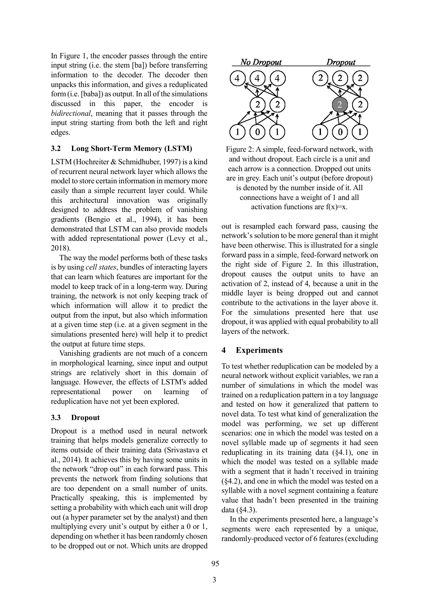In [Figure 1,](#page-1-1) the encoder passes through the entire input string (i.e. the stem [ba]) before transferring information to the decoder. The decoder then unpacks this information, and gives a reduplicated form (i.e. [baba]) as output. In all of the simulations discussed in this paper, the encoder is *bidirectional*, meaning that it passes through the input string starting from both the left and right edges.

#### **3.2 Long Short-Term Memory (LSTM)**

LSTM (Hochreiter & Schmidhuber, 1997) is a kind of recurrent neural network layer which allows the model to store certain information in memory more easily than a simple recurrent layer could. While this architectural innovation was originally designed to address the problem of vanishing gradients (Bengio et al., 1994), it has been demonstrated that LSTM can also provide models with added representational power (Levy et al., 2018).

The way the model performs both of these tasks is by using *cell states*, bundles of interacting layers that can learn which features are important for the model to keep track of in a long-term way. During training, the network is not only keeping track of which information will allow it to predict the output from the input, but also which information at a given time step (i.e. at a given segment in the simulations presented here) will help it to predict the output at future time steps.

Vanishing gradients are not much of a concern in morphological learning, since input and output strings are relatively short in this domain of language. However, the effects of LSTM's added representational power on learning of reduplication have not yet been explored.

## **3.3 Dropout**

Dropout is a method used in neural network training that helps models generalize correctly to items outside of their training data (Srivastava et al., 2014). It achieves this by having some units in the network "drop out" in each forward pass. This prevents the network from finding solutions that are too dependent on a small number of units. Practically speaking, this is implemented by setting a probability with which each unit will drop out (a hyper parameter set by the analyst) and then multiplying every unit's output by either a 0 or 1, depending on whether it has been randomly chosen to be dropped out or not. Which units are dropped



<span id="page-2-1"></span>Figure 2: A simple, feed-forward network, with and without dropout. Each circle is a unit and each arrow is a connection. Dropped out units are in grey. Each unit's output (before dropout) is denoted by the number inside of it. All connections have a weight of 1 and all activation functions are  $f(x)=x$ .

out is resampled each forward pass, causing the network's solution to be more general than it might have been otherwise. This is illustrated for a single forward pass in a simple, feed-forward network on the right side of [Figure 2.](#page-2-1) In this illustration, dropout causes the output units to have an activation of 2, instead of 4, because a unit in the middle layer is being dropped out and cannot contribute to the activations in the layer above it. For the simulations presented here that use dropout, it was applied with equal probability to all layers of the network.

## <span id="page-2-0"></span>**4 Experiments**

To test whether reduplication can be modeled by a neural network without explicit variables, we ran a number of simulations in which the model was trained on a reduplication pattern in a toy language and tested on how it generalized that pattern to novel data. To test what kind of generalization the model was performing, we set up different scenarios: one in which the model was tested on a novel syllable made up of segments it had seen reduplicating in its training data ([§4.1\)](#page-3-0), one in which the model was tested on a syllable made with a segment that it hadn't received in training ([§4.2\)](#page-3-1), and one in which the model was tested on a syllable with a novel segment containing a feature value that hadn't been presented in the training data ([§4.3\)](#page-4-0).

In the experiments presented here, a language's segments were each represented by a unique, randomly-produced vector of 6 features (excluding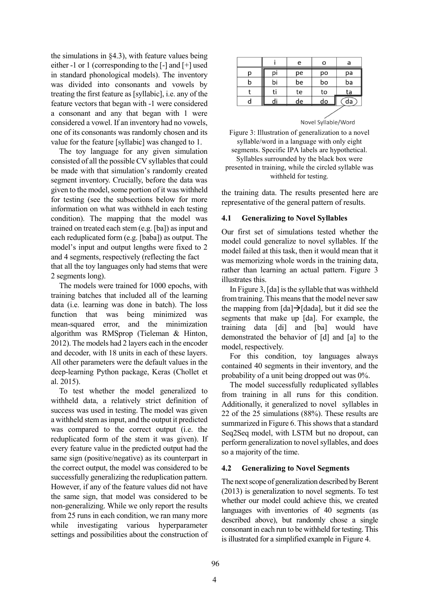the simulations in [§4.3\)](#page-4-0), with feature values being either -1 or 1 (corresponding to the [-] and [+] used in standard phonological models). The inventory was divided into consonants and vowels by treating the first feature as [syllabic], i.e. any of the feature vectors that began with -1 were considered a consonant and any that began with 1 were considered a vowel. If an inventory had no vowels, one of its consonants was randomly chosen and its value for the feature [syllabic] was changed to 1.

The toy language for any given simulation consisted of all the possible CV syllables that could be made with that simulation's randomly created segment inventory. Crucially, before the data was given to the model, some portion of it was withheld for testing (see the subsections below for more information on what was withheld in each testing condition). The mapping that the model was trained on treated each stem (e.g. [ba]) as input and each reduplicated form (e.g. [baba]) as output. The model's input and output lengths were fixed to 2 and 4 segments, respectively (reflecting the fact that all the toy languages only had stems that were 2 segments long).

The models were trained for 1000 epochs, with training batches that included all of the learning data (i.e. learning was done in batch). The loss function that was being minimized was mean-squared error, and the minimization algorithm was RMSprop (Tieleman & Hinton, 2012). The models had 2 layers each in the encoder and decoder, with 18 units in each of these layers. All other parameters were the default values in the deep-learning Python package, Keras (Chollet et al. 2015).

To test whether the model generalized to withheld data, a relatively strict definition of success was used in testing. The model was given a withheld stem as input, and the output it predicted was compared to the correct output (i.e. the reduplicated form of the stem it was given). If every feature value in the predicted output had the same sign (positive/negative) as its counterpart in the correct output, the model was considered to be successfully generalizing the reduplication pattern. However, if any of the feature values did not have the same sign, that model was considered to be non-generalizing. While we only report the results from 25 runs in each condition, we ran many more while investigating various hyperparameter settings and possibilities about the construction of

|   |    | e  | Ο  | a  |
|---|----|----|----|----|
| р | p١ | pe | po | рa |
| b | bi | be | bo | ba |
|   | ti | te | to | ta |
| d |    | de | do | da |
|   |    |    |    |    |

| Novel Syllable/Word |  |  |  |
|---------------------|--|--|--|

<span id="page-3-2"></span>Figure 3: Illustration of generalization to a novel syllable/word in a language with only eight segments. Specific IPA labels are hypothetical. Syllables surrounded by the black box were presented in training, while the circled syllable was withheld for testing.

the training data. The results presented here are representative of the general pattern of results.

## <span id="page-3-0"></span>**4.1 Generalizing to Novel Syllables**

Our first set of simulations tested whether the model could generalize to novel syllables. If the model failed at this task, then it would mean that it was memorizing whole words in the training data, rather than learning an actual pattern. [Figure 3](#page-3-2) illustrates this.

In [Figure 3,](#page-3-2) [da] is the syllable that was withheld from training. This means that the model never saw the mapping from  $\lceil da \rceil \rightarrow \lceil dada \rceil$ , but it did see the segments that make up [da]. For example, the training data [di] and [ba] would have demonstrated the behavior of [d] and [a] to the model, respectively.

For this condition, toy languages always contained 40 segments in their inventory, and the probability of a unit being dropped out was 0%.

The model successfully reduplicated syllables from training in all runs for this condition. Additionally, it generalized to novel syllables in 22 of the 25 simulations (88%). These results are summarized in [Figure 6.](#page-5-1) This shows that a standard Seq2Seq model, with LSTM but no dropout, can perform generalization to novel syllables, and does so a majority of the time.

## <span id="page-3-1"></span>**4.2 Generalizing to Novel Segments**

The next scope of generalization described by Berent (2013) is generalization to novel segments. To test whether our model could achieve this, we created languages with inventories of 40 segments (as described above), but randomly chose a single consonant in each run to be withheld for testing. This is illustrated for a simplified example in [Figure 4.](#page-4-1)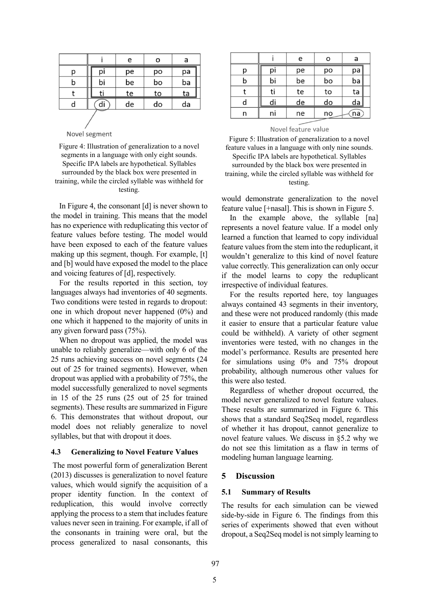|   |    | e  | o  | a  |
|---|----|----|----|----|
| р | pi | рe | po | pa |
| b | bi | be | bo | ba |
|   |    | te | to | ta |
| d |    | de | do | da |
|   |    |    |    |    |

Novel segment

#### <span id="page-4-1"></span>Figure 4: Illustration of generalization to a novel segments in a language with only eight sounds. Specific IPA labels are hypothetical. Syllables surrounded by the black box were presented in training, while the circled syllable was withheld for testing.

In [Figure 4,](#page-4-1) the consonant [d] is never shown to the model in training. This means that the model has no experience with reduplicating this vector of feature values before testing. The model would have been exposed to each of the feature values making up this segment, though. For example, [t] and [b] would have exposed the model to the place and voicing features of [d], respectively.

For the results reported in this section, toy languages always had inventories of 40 segments. Two conditions were tested in regards to dropout: one in which dropout never happened (0%) and one which it happened to the majority of units in any given forward pass (75%).

When no dropout was applied, the model was unable to reliably generalize—with only 6 of the 25 runs achieving success on novel segments (24 out of 25 for trained segments). However, when dropout was applied with a probability of 75%, the model successfully generalized to novel segments in 15 of the 25 runs (25 out of 25 for trained segments). These results are summarized in [Figure](#page-5-1)  [6.](#page-5-1) This demonstrates that without dropout, our model does not reliably generalize to novel syllables, but that with dropout it does.

#### <span id="page-4-0"></span>**4.3 Generalizing to Novel Feature Values**

The most powerful form of generalization Berent (2013) discusses is generalization to novel feature values, which would signify the acquisition of a proper identity function. In the context of reduplication, this would involve correctly applying the process to a stem that includes feature values never seen in training. For example, if all of the consonants in training were oral, but the process generalized to nasal consonants, this

|   |    | e  | о  | a  |
|---|----|----|----|----|
| р | pi | рe | po | pa |
| b | bi | be | bo | ba |
|   | ti | te | to | ta |
| d | di | de | do | da |
| n | nı | ne | no | na |

#### Novel feature value

<span id="page-4-2"></span>Figure 5: Illustration of generalization to a novel feature values in a language with only nine sounds. Specific IPA labels are hypothetical. Syllables surrounded by the black box were presented in training, while the circled syllable was withheld for testing.

would demonstrate generalization to the novel feature value [+nasal]. This is shown i[n Figure 5.](#page-4-2)

In the example above, the syllable [na] represents a novel feature value. If a model only learned a function that learned to copy individual feature values from the stem into the reduplicant, it wouldn't generalize to this kind of novel feature value correctly. This generalization can only occur if the model learns to copy the reduplicant irrespective of individual features.

For the results reported here, toy languages always contained 43 segments in their inventory, and these were not produced randomly (this made it easier to ensure that a particular feature value could be withheld). A variety of other segment inventories were tested, with no changes in the model's performance. Results are presented here for simulations using 0% and 75% dropout probability, although numerous other values for this were also tested.

Regardless of whether dropout occurred, the model never generalized to novel feature values. These results are summarized in [Figure 6.](#page-5-1) This shows that a standard Seq2Seq model, regardless of whether it has dropout, cannot generalize to novel feature values. We discuss in [§5.2](#page-5-0) why we do not see this limitation as a flaw in terms of modeling human language learning.

#### **5 Discussion**

#### **5.1 Summary of Results**

The results for each simulation can be viewed side-by-side in [Figure 6.](#page-5-1) The findings from this series of experiments showed that even without dropout, a Seq2Seq model is not simply learning to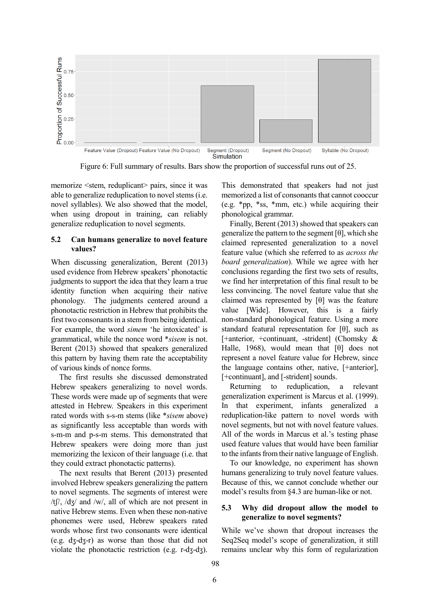

Figure 6: Full summary of results. Bars show the proportion of successful runs out of 25.

<span id="page-5-1"></span>memorize <stem, reduplicant> pairs, since it was able to generalize reduplication to novel stems (i.e. novel syllables). We also showed that the model, when using dropout in training, can reliably generalize reduplication to novel segments.

#### <span id="page-5-0"></span>**5.2 Can humans generalize to novel feature values?**

When discussing generalization, Berent (2013) used evidence from Hebrew speakers' phonotactic judgments to support the idea that they learn a true identity function when acquiring their native phonology. The judgments centered around a phonotactic restriction in Hebrew that prohibits the first two consonants in a stem from being identical. For example, the word *simem* 'he intoxicated' is grammatical, while the nonce word \**sisem* is not. Berent (2013) showed that speakers generalized this pattern by having them rate the acceptability of various kinds of nonce forms.

The first results she discussed demonstrated Hebrew speakers generalizing to novel words. These words were made up of segments that were attested in Hebrew. Speakers in this experiment rated words with s-s-m stems (like \**sisem* above) as significantly less acceptable than words with s-m-m and p-s-m stems. This demonstrated that Hebrew speakers were doing more than just memorizing the lexicon of their language (i.e. that they could extract phonotactic patterns).

The next results that Berent (2013) presented involved Hebrew speakers generalizing the pattern to novel segments. The segments of interest were  $/t$ f $\frac{1}{\sqrt{2}}$  /d $\frac{1}{\sqrt{2}}$  and  $\frac{1}{\sqrt{2}}$  all of which are not present in native Hebrew stems. Even when these non-native phonemes were used, Hebrew speakers rated words whose first two consonants were identical (e.g. dʒ-dʒ-r) as worse than those that did not violate the phonotactic restriction (e.g. r-dʒ-dʒ).

This demonstrated that speakers had not just memorized a list of consonants that cannot cooccur (e.g. \*pp, \*ss, \*mm, etc.) while acquiring their phonological grammar.

Finally, Berent (2013) showed that speakers can generalize the pattern to the segment  $[\theta]$ , which she claimed represented generalization to a novel feature value (which she referred to as *across the board generalization*). While we agree with her conclusions regarding the first two sets of results, we find her interpretation of this final result to be less convincing. The novel feature value that she claimed was represented by  $[\theta]$  was the feature value [Wide]. However, this is a fairly non-standard phonological feature. Using a more standard featural representation for  $[\theta]$ , such as [+anterior, +continuant, -strident] (Chomsky & Halle, 1968), would mean that  $[\theta]$  does not represent a novel feature value for Hebrew, since the language contains other, native, [+anterior], [+continuant], and [-strident] sounds.

Returning to reduplication, a relevant generalization experiment is Marcus et al. (1999). In that experiment, infants generalized a reduplication-like pattern to novel words with novel segments, but not with novel feature values. All of the words in Marcus et al.'s testing phase used feature values that would have been familiar to the infants from their native language of English.

To our knowledge, no experiment has shown humans generalizing to truly novel feature values. Because of this, we cannot conclude whether our model's results from [§4.3](#page-4-0) are human-like or not.

## **5.3 Why did dropout allow the model to generalize to novel segments?**

While we've shown that dropout increases the Seq2Seq model's scope of generalization, it still remains unclear why this form of regularization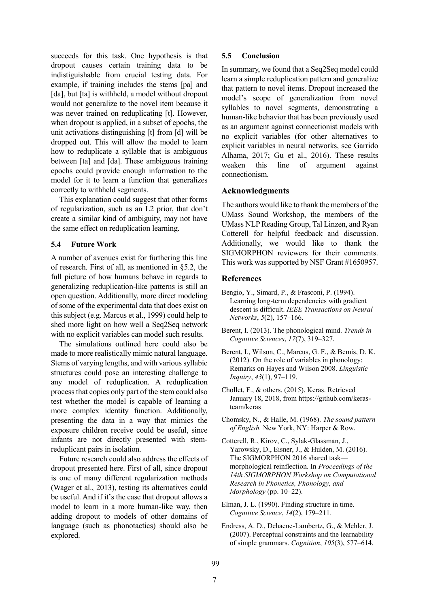succeeds for this task. One hypothesis is that dropout causes certain training data to be indistiguishable from crucial testing data. For example, if training includes the stems [pa] and [da], but [ta] is withheld, a model without dropout would not generalize to the novel item because it was never trained on reduplicating [t]. However, when dropout is applied, in a subset of epochs, the unit activations distinguishing [t] from [d] will be dropped out. This will allow the model to learn how to reduplicate a syllable that is ambiguous between [ta] and [da]. These ambiguous training epochs could provide enough information to the model for it to learn a function that generalizes correctly to withheld segments.

This explanation could suggest that other forms of regularization, such as an L2 prior, that don't create a similar kind of ambiguity, may not have the same effect on reduplication learning.

#### **5.4 Future Work**

A number of avenues exist for furthering this line of research. First of all, as mentioned in [§5.2,](#page-5-0) the full picture of how humans behave in regards to generalizing reduplication-like patterns is still an open question. Additionally, more direct modeling of some of the experimental data that does exist on this subject (e.g. Marcus et al., 1999) could help to shed more light on how well a Seq2Seq network with no explicit variables can model such results.

The simulations outlined here could also be made to more realistically mimic natural language. Stems of varying lengths, and with various syllabic structures could pose an interesting challenge to any model of reduplication. A reduplication process that copies only part of the stem could also test whether the model is capable of learning a more complex identity function. Additionally, presenting the data in a way that mimics the exposure children receive could be useful, since infants are not directly presented with stemreduplicant pairs in isolation.

Future research could also address the effects of dropout presented here. First of all, since dropout is one of many different regularization methods (Wager et al., 2013), testing its alternatives could be useful. And if it's the case that dropout allows a model to learn in a more human-like way, then adding dropout to models of other domains of language (such as phonotactics) should also be explored.

#### **5.5 Conclusion**

In summary, we found that a Seq2Seq model could learn a simple reduplication pattern and generalize that pattern to novel items. Dropout increased the model's scope of generalization from novel syllables to novel segments, demonstrating a human-like behavior that has been previously used as an argument against connectionist models with no explicit variables (for other alternatives to explicit variables in neural networks, see Garrido Alhama, 2017; Gu et al., 2016). These results weaken this line of argument against connectionism.

#### **Acknowledgments**

The authors would like to thank the members of the UMass Sound Workshop, the members of the UMass NLP Reading Group, Tal Linzen, and Ryan Cotterell for helpful feedback and discussion. Additionally, we would like to thank the SIGMORPHON reviewers for their comments. This work was supported by NSF Grant #1650957.

#### **References**

- Bengio, Y., Simard, P., & Frasconi, P. (1994). Learning long-term dependencies with gradient descent is difficult. *IEEE Transactions on Neural Networks*, *5*(2), 157–166.
- Berent, I. (2013). The phonological mind. *Trends in Cognitive Sciences*, *17*(7), 319–327.
- Berent, I., Wilson, C., Marcus, G. F., & Bemis, D. K. (2012). On the role of variables in phonology: Remarks on Hayes and Wilson 2008. *Linguistic Inquiry*, *43*(1), 97–119.
- Chollet, F., & others. (2015). Keras. Retrieved January 18, 2018, from https://github.com/kerasteam/keras
- Chomsky, N., & Halle, M. (1968). *The sound pattern of English.* New York, NY: Harper & Row.
- Cotterell, R., Kirov, C., Sylak-Glassman, J., Yarowsky, D., Eisner, J., & Hulden, M. (2016). The SIGMORPHON 2016 shared task morphological reinflection. In *Proceedings of the 14th SIGMORPHON Workshop on Computational Research in Phonetics, Phonology, and Morphology* (pp. 10–22).
- Elman, J. L. (1990). Finding structure in time. *Cognitive Science*, *14*(2), 179–211.
- Endress, A. D., Dehaene-Lambertz, G., & Mehler, J. (2007). Perceptual constraints and the learnability of simple grammars. *Cognition*, *105*(3), 577–614.